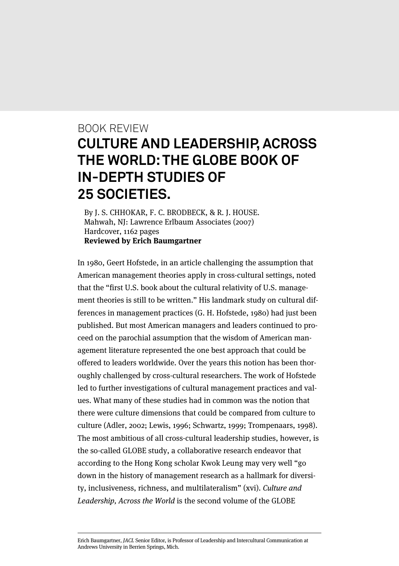## BOOK REVIEW **CULTURE AND LEADERSHIP, ACROSS THE WORLD: THE GLOBE BOOK OF IN-DEPTH STUDIES OF 25 SOCIETIES.**

By J. S. CHHOKAR, F. C. BRODBECK, & R. J. HOUSE. Mahwah, NJ: Lawrence Erlbaum Associates (2007) Hardcover, 1162 pages **Reviewed by Erich Baumgartner**

In 1980, Geert Hofstede, in an article challenging the assumption that American management theories apply in cross-cultural settings, noted that the "first U.S. book about the cultural relativity of U.S. management theories is still to be written." His landmark study on cultural differences in management practices (G. H. Hofstede, 1980) had just been published. But most American managers and leaders continued to proceed on the parochial assumption that the wisdom of American management literature represented the one best approach that could be offered to leaders worldwide. Over the years this notion has been thoroughly challenged by cross-cultural researchers. The work of Hofstede led to further investigations of cultural management practices and values. What many of these studies had in common was the notion that there were culture dimensions that could be compared from culture to culture (Adler, 2002; Lewis, 1996; Schwartz, 1999; Trompenaars, 1998). The most ambitious of all cross-cultural leadership studies, however, is the so-called GLOBE study, a collaborative research endeavor that according to the Hong Kong scholar Kwok Leung may very well "go down in the history of management research as a hallmark for diversity, inclusiveness, richness, and multilateralism" (xvi). Culture and Leadership, Across the World is the second volume of the GLOBE

Erich Baumgartner, JACL Senior Editor, is Professor of Leadership and Intercultural Communication at Andrews University in Berrien Springs, Mich.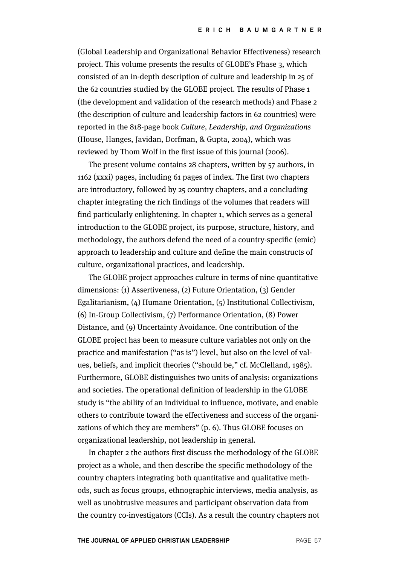(Global Leadership and Organizational Behavior Effectiveness) research project. This volume presents the results of GLOBE's Phase 3, which consisted of an in-depth description of culture and leadership in 25 of the 62 countries studied by the GLOBE project. The results of Phase 1 (the development and validation of the research methods) and Phase 2 (the description of culture and leadership factors in 62 countries) were reported in the 818-page book Culture, Leadership, and Organizations (House, Hanges, Javidan, Dorfman, & Gupta, 2004), which was reviewed by Thom Wolf in the first issue of this journal (2006).

The present volume contains 28 chapters, written by 57 authors, in 1162 (xxxi) pages, including 61 pages of index. The first two chapters are introductory, followed by 25 country chapters, and a concluding chapter integrating the rich findings of the volumes that readers will find particularly enlightening. In chapter 1, which serves as a general introduction to the GLOBE project, its purpose, structure, history, and methodology, the authors defend the need of a country-specific (emic) approach to leadership and culture and define the main constructs of culture, organizational practices, and leadership.

The GLOBE project approaches culture in terms of nine quantitative dimensions: (1) Assertiveness, (2) Future Orientation, (3) Gender Egalitarianism, (4) Humane Orientation, (5) Institutional Collectivism, (6) In-Group Collectivism, (7) Performance Orientation, (8) Power Distance, and (9) Uncertainty Avoidance. One contribution of the GLOBE project has been to measure culture variables not only on the practice and manifestation ("as is") level, but also on the level of values, beliefs, and implicit theories ("should be," cf. McClelland, 1985). Furthermore, GLOBE distinguishes two units of analysis: organizations and societies. The operational definition of leadership in the GLOBE study is "the ability of an individual to influence, motivate, and enable others to contribute toward the effectiveness and success of the organizations of which they are members" (p. 6). Thus GLOBE focuses on organizational leadership, not leadership in general.

In chapter 2 the authors first discuss the methodology of the GLOBE project as a whole, and then describe the specific methodology of the country chapters integrating both quantitative and qualitative methods, such as focus groups, ethnographic interviews, media analysis, as well as unobtrusive measures and participant observation data from the country co-investigators (CCIs). As a result the country chapters not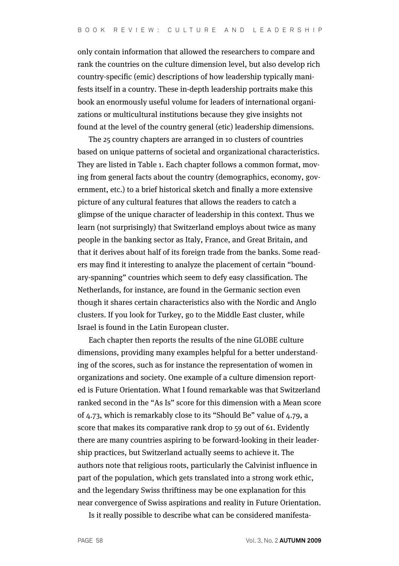only contain information that allowed the researchers to compare and rank the countries on the culture dimension level, but also develop rich country-specific (emic) descriptions of how leadership typically manifests itself in a country. These in-depth leadership portraits make this book an enormously useful volume for leaders of international organizations or multicultural institutions because they give insights not found at the level of the country general (etic) leadership dimensions.

The 25 country chapters are arranged in 10 clusters of countries based on unique patterns of societal and organizational characteristics. They are listed in Table 1. Each chapter follows a common format, moving from general facts about the country (demographics, economy, government, etc.) to a brief historical sketch and finally a more extensive picture of any cultural features that allows the readers to catch a glimpse of the unique character of leadership in this context. Thus we learn (not surprisingly) that Switzerland employs about twice as many people in the banking sector as Italy, France, and Great Britain, and that it derives about half of its foreign trade from the banks. Some readers may find it interesting to analyze the placement of certain "boundary-spanning" countries which seem to defy easy classification. The Netherlands, for instance, are found in the Germanic section even though it shares certain characteristics also with the Nordic and Anglo clusters. If you look for Turkey, go to the Middle East cluster, while Israel is found in the Latin European cluster.

Each chapter then reports the results of the nine GLOBE culture dimensions, providing many examples helpful for a better understanding of the scores, such as for instance the representation of women in organizations and society. One example of a culture dimension reported is Future Orientation. What I found remarkable was that Switzerland ranked second in the "As Is" score for this dimension with a Mean score of 4.73, which is remarkably close to its "Should Be" value of 4.79, a score that makes its comparative rank drop to 59 out of 61. Evidently there are many countries aspiring to be forward-looking in their leadership practices, but Switzerland actually seems to achieve it. The authors note that religious roots, particularly the Calvinist influence in part of the population, which gets translated into a strong work ethic, and the legendary Swiss thriftiness may be one explanation for this near convergence of Swiss aspirations and reality in Future Orientation.

Is it really possible to describe what can be considered manifesta-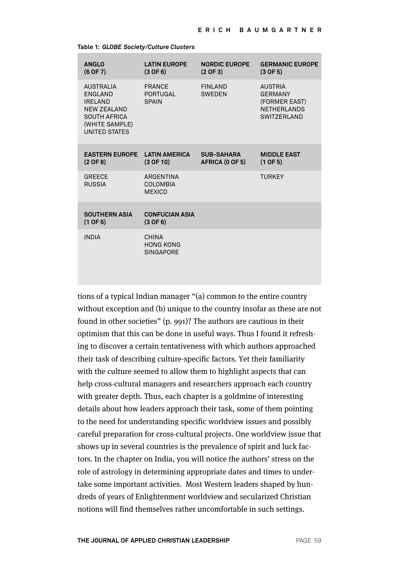| <b>ANGLO</b><br>$(6$ OF 7)                                                                                                           | <b>LATIN EUROPE</b><br>$(3$ OF 6)                | <b>NORDIC EUROPE</b><br>$(2$ OF 3)   | <b>GERMANIC EUROPE</b><br>$(3$ OF 5)                                                    |
|--------------------------------------------------------------------------------------------------------------------------------------|--------------------------------------------------|--------------------------------------|-----------------------------------------------------------------------------------------|
| <b>AUSTRALIA</b><br>ENGLAND<br><b>IRELAND</b><br><b>NEW ZEALAND</b><br><b>SOUTH AFRICA</b><br>(WHITE SAMPLE)<br><b>UNITED STATES</b> | <b>FRANCE</b><br><b>PORTUGAL</b><br><b>SPAIN</b> | FINI AND<br><b>SWEDEN</b>            | <b>AUSTRIA</b><br><b>GERMANY</b><br>(FORMER EAST)<br><b>NETHERLANDS</b><br>SWITZERI AND |
| <b>EASTERN EUROPE</b><br>$(2$ OF 8)                                                                                                  | <b>LATIN AMERICA</b><br>$(3$ OF $10)$            | <b>SUB-SAHARA</b><br>AFRICA (0 OF 5) | <b>MIDDLE EAST</b><br>$(1$ OF 5)                                                        |
| <b>GREECE</b><br><b>RUSSIA</b>                                                                                                       | ARGENTINA<br>COI OMBIA<br><b>MEXICO</b>          |                                      | <b>TURKEY</b>                                                                           |
| <b>SOUTHERN ASIA</b><br>$(1$ OF 6)                                                                                                   | <b>CONFUCIAN ASIA</b><br>$(3$ OF 6)              |                                      |                                                                                         |
| <b>INDIA</b>                                                                                                                         | CHINA<br><b>HONG KONG</b><br><b>SINGAPORE</b>    |                                      |                                                                                         |

**Table 1:** *GLOBE Society/Culture Clusters*

tions of a typical Indian manager "(a) common to the entire country without exception and (b) unique to the country insofar as these are not found in other societies" (p. 991)? The authors are cautious in their optimism that this can be done in useful ways. Thus I found it refreshing to discover a certain tentativeness with which authors approached their task of describing culture-specific factors. Yet their familiarity with the culture seemed to allow them to highlight aspects that can help cross-cultural managers and researchers approach each country with greater depth. Thus, each chapter is a goldmine of interesting details about how leaders approach their task, some of them pointing to the need for understanding specific worldview issues and possibly careful preparation for cross-cultural projects. One worldview issue that shows up in several countries is the prevalence of spirit and luck factors. In the chapter on India, you will notice the authors' stress on the role of astrology in determining appropriate dates and times to undertake some important activities. Most Western leaders shaped by hundreds of years of Enlightenment worldview and secularized Christian notions will find themselves rather uncomfortable in such settings.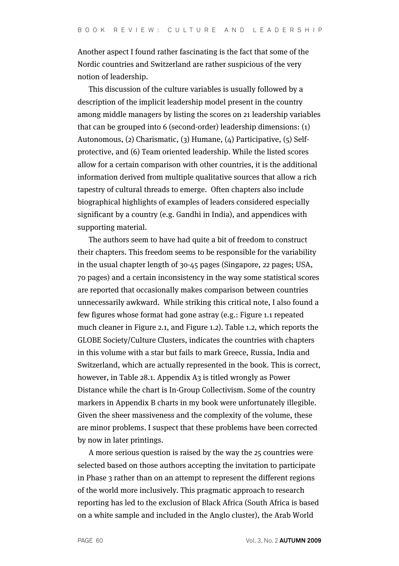Another aspect I found rather fascinating is the fact that some of the Nordic countries and Switzerland are rather suspicious of the very notion of leadership.

This discussion of the culture variables is usually followed by a description of the implicit leadership model present in the country among middle managers by listing the scores on 21 leadership variables that can be grouped into 6 (second-order) leadership dimensions: (1) Autonomous, (2) Charismatic, (3) Humane, (4) Participative, (5) Selfprotective, and (6) Team oriented leadership. While the listed scores allow for a certain comparison with other countries, it is the additional information derived from multiple qualitative sources that allow a rich tapestry of cultural threads to emerge. Often chapters also include biographical highlights of examples of leaders considered especially significant by a country (e.g. Gandhi in India), and appendices with supporting material.

The authors seem to have had quite a bit of freedom to construct their chapters. This freedom seems to be responsible for the variability in the usual chapter length of 30-45 pages (Singapore, 22 pages; USA, 70 pages) and a certain inconsistency in the way some statistical scores are reported that occasionally makes comparison between countries unnecessarily awkward. While striking this critical note, I also found a few figures whose format had gone astray (e.g.: Figure 1.1 repeated much cleaner in Figure 2.1, and Figure 1.2). Table 1.2, which reports the GLOBE Society/Culture Clusters, indicates the countries with chapters in this volume with a star but fails to mark Greece, Russia, India and Switzerland, which are actually represented in the book. This is correct, however, in Table 28.1. Appendix A3 is titled wrongly as Power Distance while the chart is In-Group Collectivism. Some of the country markers in Appendix B charts in my book were unfortunately illegible. Given the sheer massiveness and the complexity of the volume, these are minor problems. I suspect that these problems have been corrected by now in later printings.

A more serious question is raised by the way the 25 countries were selected based on those authors accepting the invitation to participate in Phase 3 rather than on an attempt to represent the different regions of the world more inclusively. This pragmatic approach to research reporting has led to the exclusion of Black Africa (South Africa is based on a white sample and included in the Anglo cluster), the Arab World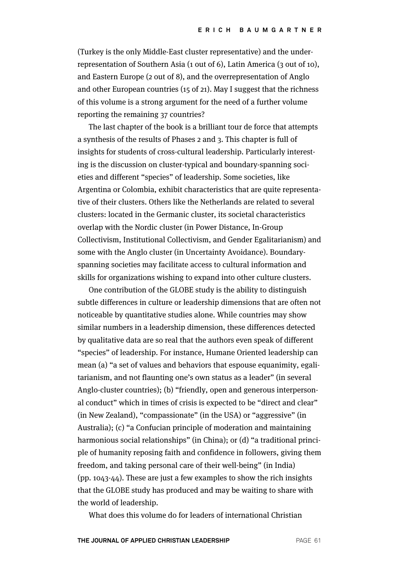(Turkey is the only Middle-East cluster representative) and the underrepresentation of Southern Asia (1 out of 6), Latin America (3 out of 10), and Eastern Europe (2 out of 8), and the overrepresentation of Anglo and other European countries (15 of 21). May I suggest that the richness of this volume is a strong argument for the need of a further volume reporting the remaining 37 countries?

The last chapter of the book is a brilliant tour de force that attempts a synthesis of the results of Phases 2 and 3. This chapter is full of insights for students of cross-cultural leadership. Particularly interesting is the discussion on cluster-typical and boundary-spanning societies and different "species" of leadership. Some societies, like Argentina or Colombia, exhibit characteristics that are quite representative of their clusters. Others like the Netherlands are related to several clusters: located in the Germanic cluster, its societal characteristics overlap with the Nordic cluster (in Power Distance, In-Group Collectivism, Institutional Collectivism, and Gender Egalitarianism) and some with the Anglo cluster (in Uncertainty Avoidance). Boundaryspanning societies may facilitate access to cultural information and skills for organizations wishing to expand into other culture clusters.

One contribution of the GLOBE study is the ability to distinguish subtle differences in culture or leadership dimensions that are often not noticeable by quantitative studies alone. While countries may show similar numbers in a leadership dimension, these differences detected by qualitative data are so real that the authors even speak of different "species" of leadership. For instance, Humane Oriented leadership can mean (a) "a set of values and behaviors that espouse equanimity, egalitarianism, and not flaunting one's own status as a leader" (in several Anglo-cluster countries); (b) "friendly, open and generous interpersonal conduct" which in times of crisis is expected to be "direct and clear" (in New Zealand), "compassionate" (in the USA) or "aggressive" (in Australia); (c) "a Confucian principle of moderation and maintaining harmonious social relationships" (in China); or (d) "a traditional principle of humanity reposing faith and confidence in followers, giving them freedom, and taking personal care of their well-being" (in India) (pp. 1043-44). These are just a few examples to show the rich insights that the GLOBE study has produced and may be waiting to share with the world of leadership.

What does this volume do for leaders of international Christian